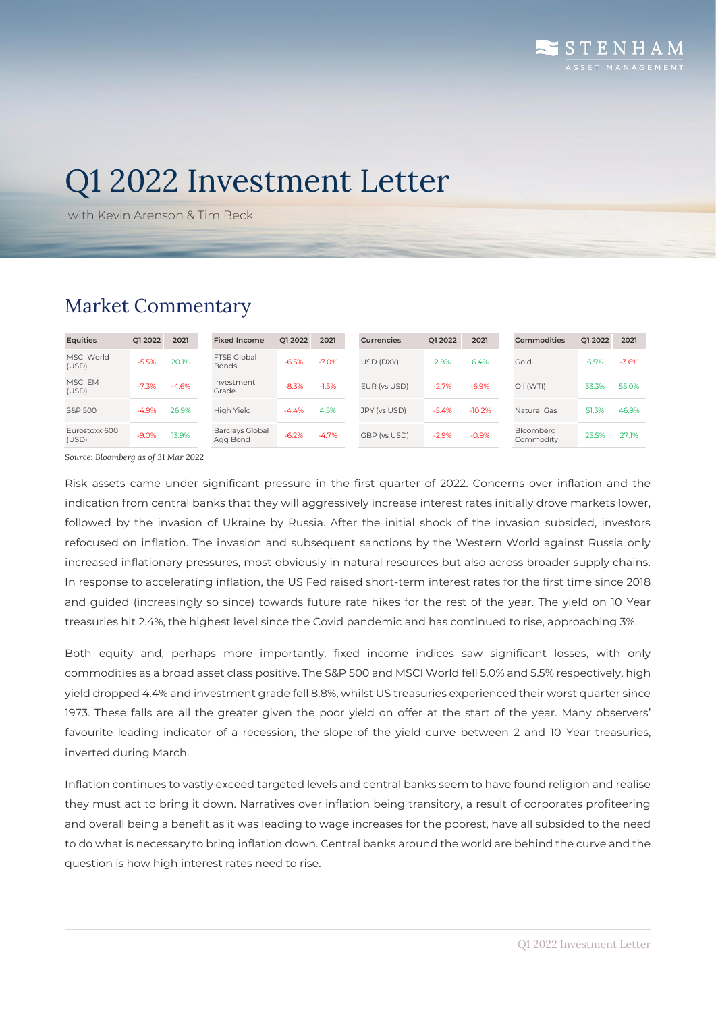# Q1 2022 Investment Letter

with Kevin Arenson & Tim Beck

## Market Commentary

|                            | O1 2022 | 2021    | <b>Fixed Income</b>                | Q1 2022 | 2021    | Currencies   | O1 2022 | 2021     | Commodities            | Q1 2022 |
|----------------------------|---------|---------|------------------------------------|---------|---------|--------------|---------|----------|------------------------|---------|
| <b>MSCI World</b><br>(USD) | $-5.5%$ | 20.1%   | FTSF Global<br><b>Bonds</b>        | $-6.5%$ | $-7.0%$ | USD (DXY)    | 2.8%    | 6.4%     | Gold                   | 6.5%    |
| <b>MSCIEM</b><br>(USD)     | $-7.3%$ | $-4.6%$ | Investment<br>Grade                | $-8.3%$ | $-1.5%$ | EUR (vs USD) | $-2.7%$ | $-6.9%$  | Oil (WTI)              | 33.3%   |
| S&P 500                    | $-4.9%$ | 26.9%   | High Yield                         | -4.4%   | 4.5%    | JPY (vs USD) | $-5.4%$ | $-10.2%$ | Natural Gas            | 51.3%   |
| Eurostoxx 600<br>(USD)     | $-9.0%$ | 13.9%   | <b>Barclays Global</b><br>Agg Bond | $-6.2%$ | $-4.7%$ | GBP (vs USD) | $-2.9%$ | $-0.9%$  | Bloomberg<br>Commodity | 25.5%   |

*Source: Bloomberg as of 31 Mar 2022*

Risk assets came under significant pressure in the first quarter of 2022. Concerns over inflation and the indication from central banks that they will aggressively increase interest rates initially drove markets lower, followed by the invasion of Ukraine by Russia. After the initial shock of the invasion subsided, investors refocused on inflation. The invasion and subsequent sanctions by the Western World against Russia only increased inflationary pressures, most obviously in natural resources but also across broader supply chains. In response to accelerating inflation, the US Fed raised short-term interest rates for the first time since 2018 and guided (increasingly so since) towards future rate hikes for the rest of the year. The yield on 10 Year treasuries hit 2.4%, the highest level since the Covid pandemic and has continued to rise, approaching 3%.

Both equity and, perhaps more importantly, fixed income indices saw significant losses, with only commodities as a broad asset class positive. The S&P 500 and MSCI World fell 5.0% and 5.5% respectively, high yield dropped 4.4% and investment grade fell 8.8%, whilst US treasuries experienced their worst quarter since 1973. These falls are all the greater given the poor yield on offer at the start of the year. Many observers' favourite leading indicator of a recession, the slope of the yield curve between 2 and 10 Year treasuries, inverted during March.

Inflation continues to vastly exceed targeted levels and central banks seem to have found religion and realise they must act to bring it down. Narratives over inflation being transitory, a result of corporates profiteering and overall being a benefit as it was leading to wage increases for the poorest, have all subsided to the need to do what is necessary to bring inflation down. Central banks around the world are behind the curve and the question is how high interest rates need to rise.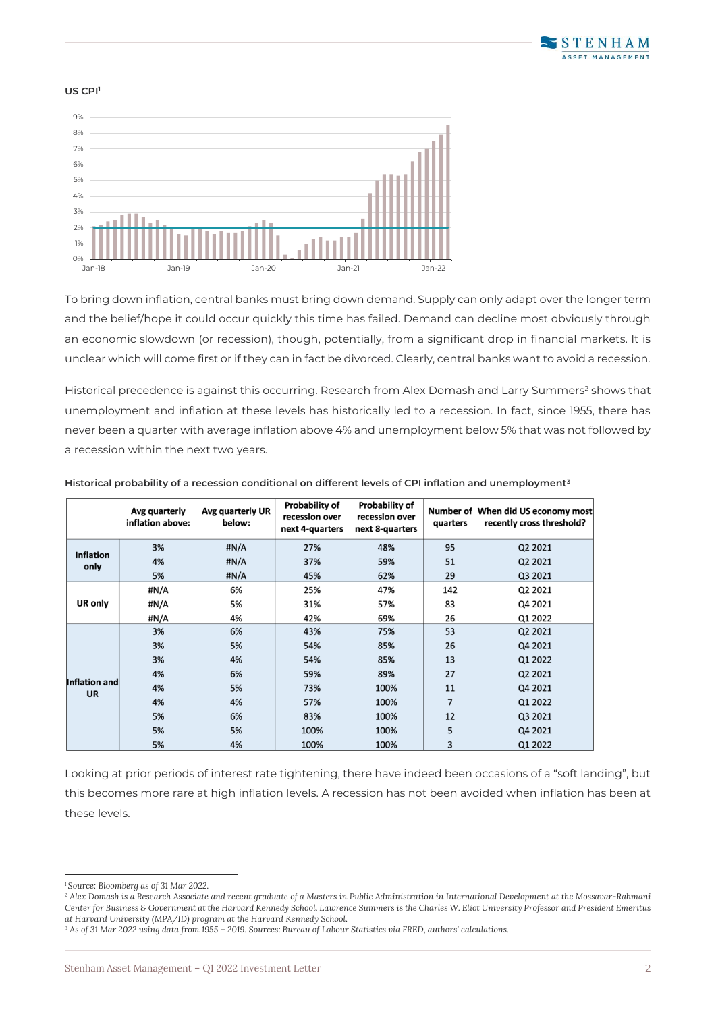

#### US CPI<sup>1</sup>



To bring down inflation, central banks must bring down demand. Supply can only adapt over the longer term and the belief/hope it could occur quickly this time has failed. Demand can decline most obviously through an economic slowdown (or recession), though, potentially, from a significant drop in financial markets. It is unclear which will come first or if they can in fact be divorced. Clearly, central banks want to avoid a recession.

Historical precedence is against this occurring. Research from Alex Domash and Larry Summers<sup>2</sup> shows that unemployment and inflation at these levels has historically led to a recession. In fact, since 1955, there has never been a quarter with average inflation above 4% and unemployment below 5% that was not followed by a recession within the next two years.

|                            | Avg quarterly<br>inflation above: | Avg quarterly UR<br>below: | <b>Probability of</b><br>recession over<br>next 4-quarters | <b>Probability of</b><br>recession over<br>next 8-quarters | quarters       | Number of When did US economy most<br>recently cross threshold? |
|----------------------------|-----------------------------------|----------------------------|------------------------------------------------------------|------------------------------------------------------------|----------------|-----------------------------------------------------------------|
| <b>Inflation</b>           | 3%                                | #N/A                       | 27%                                                        | 48%                                                        | 95             | Q2 2021                                                         |
| only                       | 4%                                | #N/A                       | 37%                                                        | 59%                                                        | 51             | Q2 2021                                                         |
|                            | 5%                                | #N/A                       | 45%                                                        | 62%                                                        | 29             | Q3 2021                                                         |
|                            | #N/A                              | 6%                         | 25%                                                        | 47%                                                        | 142            | Q2 2021                                                         |
| UR only                    | #N/A                              | 5%                         | 31%                                                        | 57%                                                        | 83             | Q4 2021                                                         |
|                            | #N/A                              | 4%                         | 42%                                                        | 69%                                                        | 26             | Q1 2022                                                         |
|                            | 3%                                | 6%                         | 43%                                                        | 75%                                                        | 53             | Q2 2021                                                         |
|                            | 3%                                | 5%                         | 54%                                                        | 85%                                                        | 26             | Q4 2021                                                         |
|                            | 3%                                | 4%                         | 54%                                                        | 85%                                                        | 13             | Q1 2022                                                         |
|                            | 4%                                | 6%                         | 59%                                                        | 89%                                                        | 27             | Q2 2021                                                         |
| Inflation and<br><b>UR</b> | 4%                                | 5%                         | 73%                                                        | 100%                                                       | 11             | Q4 2021                                                         |
|                            | 4%                                | 4%                         | 57%                                                        | 100%                                                       | $\overline{7}$ | Q1 2022                                                         |
|                            | 5%                                | 6%                         | 83%                                                        | 100%                                                       | 12             | Q3 2021                                                         |
|                            | 5%                                | 5%                         | 100%                                                       | 100%                                                       | 5              | Q4 2021                                                         |
|                            | 5%                                | 4%                         | 100%                                                       | 100%                                                       | 3              | Q1 2022                                                         |

#### **Historical probability of a recession conditional on different levels of CPI inflation and unemployment<sup>3</sup>**

Looking at prior periods of interest rate tightening, there have indeed been occasions of a "soft landing", but this becomes more rare at high inflation levels. A recession has not been avoided when inflation has been at these levels.

*<sup>1</sup> Source: Bloomberg as of 31 Mar 2022.*

*<sup>2</sup> Alex Domash is a Research Associate and recent graduate of a Masters in Public Administration in International Development at the Mossavar-Rahmani Center for Business & Government at the Harvard Kennedy School. Lawrence Summers is the Charles W. Eliot University Professor and President Emeritus at Harvard University (MPA/ID) program at the Harvard Kennedy School.*

*<sup>3</sup> As of 31 Mar 2022 using data from 1955 – 2019. Sources: Bureau of Labour Statistics via FRED, authors' calculations.*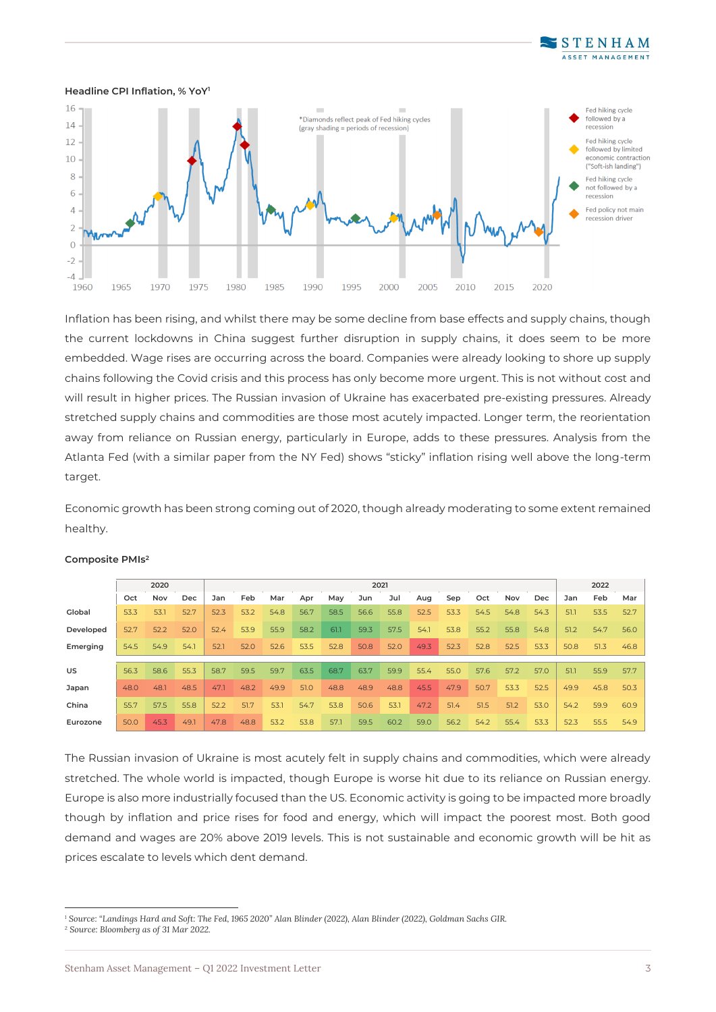



Inflation has been rising, and whilst there may be some decline from base effects and supply chains, though the current lockdowns in China suggest further disruption in supply chains, it does seem to be more embedded. Wage rises are occurring across the board. Companies were already looking to shore up supply chains following the Covid crisis and this process has only become more urgent. This is not without cost and will result in higher prices. The Russian invasion of Ukraine has exacerbated pre-existing pressures. Already stretched supply chains and commodities are those most acutely impacted. Longer term, the reorientation away from reliance on Russian energy, particularly in Europe, adds to these pressures. Analysis from the Atlanta Fed (with a similar paper from the NY Fed) shows "sticky" inflation rising well above the long-term target.

Economic growth has been strong coming out of 2020, though already moderating to some extent remained healthy.

|           | 2020 |      |      | 2021 |      |      |      |      |      |      |      |      | 2022 |      |            |      |      |      |
|-----------|------|------|------|------|------|------|------|------|------|------|------|------|------|------|------------|------|------|------|
|           | Oct  | Nov  | Dec  | Jan  | Feb  | Mar  | Apr  | May  | Jun  | Jul  | Aug  | Sep  | Oct  | Nov  | <b>Dec</b> | Jan  | Feb  | Mar  |
| Global    | 53.3 | 53.1 | 52.7 | 52.3 | 53.2 | 54.8 | 56.7 | 58.5 | 56.6 | 55.8 | 52.5 | 53.3 | 54.5 | 54.8 | 54.3       | 51.1 | 53.5 | 52.7 |
| Developed | 52.7 | 52.2 | 52.0 | 52.4 | 53.9 | 55.9 | 58.2 | 61.1 | 59.3 | 57.5 | 54.1 | 53.8 | 55.2 | 55.8 | 54.8       | 51.2 | 54.7 | 56.0 |
| Emerging  | 54.5 | 54.9 | 54.1 | 52.1 | 52.0 | 52.6 | 53.5 | 52.8 | 50.8 | 52.0 | 49.3 | 52.3 | 52.8 | 52.5 | 53.3       | 50.8 | 51.3 | 46.8 |
|           |      |      |      |      |      |      |      |      |      |      |      |      |      |      |            |      |      |      |
| US.       | 56.3 | 58.6 | 55.3 | 58.7 | 59.5 | 59.7 | 63.5 | 68.7 | 63.7 | 59.9 | 55.4 | 55.0 | 57.6 | 57.2 | 57.0       | 51.1 | 55.9 | 57.7 |
| Japan     | 48.0 | 48.1 | 48.5 | 47.1 | 48.2 | 49.9 | 51.0 | 48.8 | 48.9 | 48.8 | 45.5 | 47.9 | 50.7 | 53.3 | 52.5       | 49.9 | 45.8 | 50.3 |
| China     | 55.7 | 57.5 | 55.8 | 52.2 | 51.7 | 53.1 | 54.7 | 53.8 | 50.6 | 53.1 | 47.2 | 51.4 | 51.5 | 51.2 | 53.0       | 54.2 | 59.9 | 60.9 |
| Eurozone  | 50.0 | 45.3 | 49.1 | 47.8 | 48.8 | 53.2 | 53.8 | 57.1 | 59.5 | 60.2 | 59.0 | 56.2 | 54.2 | 55.4 | 53.3       | 52.3 | 55.5 | 54.9 |

#### **Composite PMIs<sup>2</sup>**

The Russian invasion of Ukraine is most acutely felt in supply chains and commodities, which were already stretched. The whole world is impacted, though Europe is worse hit due to its reliance on Russian energy. Europe is also more industrially focused than the US. Economic activity is going to be impacted more broadly though by inflation and price rises for food and energy, which will impact the poorest most. Both good demand and wages are 20% above 2019 levels. This is not sustainable and economic growth will be hit as prices escalate to levels which dent demand.

*<sup>1</sup> Source: "Landings Hard and Soft: The Fed, 1965 2020" Alan Blinder (2022), Alan Blinder (2022), Goldman Sachs GIR. <sup>2</sup> Source: Bloomberg as of 31 Mar 2022.*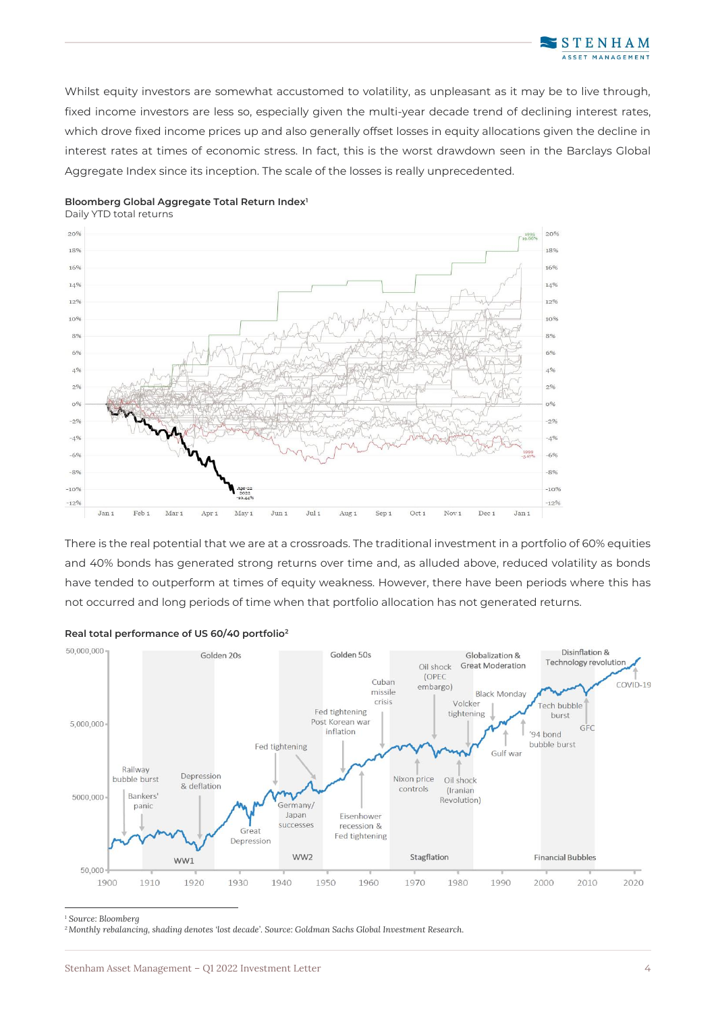Whilst equity investors are somewhat accustomed to volatility, as unpleasant as it may be to live through, fixed income investors are less so, especially given the multi-year decade trend of declining interest rates, which drove fixed income prices up and also generally offset losses in equity allocations given the decline in interest rates at times of economic stress. In fact, this is the worst drawdown seen in the Barclays Global Aggregate Index since its inception. The scale of the losses is really unprecedented.



### **Bloomberg Global Aggregate Total Return Index<sup>1</sup>**

Daily YTD total returns

There is the real potential that we are at a crossroads. The traditional investment in a portfolio of 60% equities and 40% bonds has generated strong returns over time and, as alluded above, reduced volatility as bonds have tended to outperform at times of equity weakness. However, there have been periods where this has not occurred and long periods of time when that portfolio allocation has not generated returns.



#### **Real total performance of US 60/40 portfolio<sup>2</sup>**

*<sup>1</sup> Source: Bloomberg*

*2Monthly rebalancing, shading denotes 'lost decade'. Source: Goldman Sachs Global Investment Research.*

**STENHAM** ET MANAGEMENT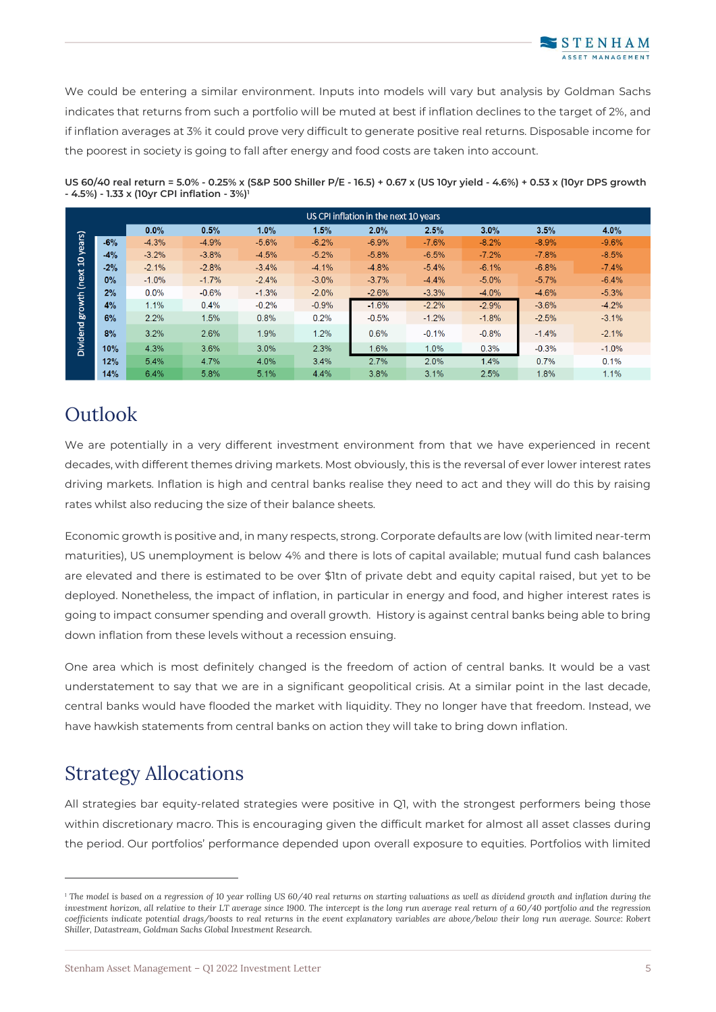We could be entering a similar environment. Inputs into models will vary but analysis by Goldman Sachs indicates that returns from such a portfolio will be muted at best if inflation declines to the target of 2%, and if inflation averages at 3% it could prove very difficult to generate positive real returns. Disposable income for the poorest in society is going to fall after energy and food costs are taken into account.

| US CPI inflation in the next 10 years |       |         |         |         |         |          |         |         |         |          |  |  |
|---------------------------------------|-------|---------|---------|---------|---------|----------|---------|---------|---------|----------|--|--|
|                                       |       | 0.0%    | 0.5%    | 1.0%    | 1.5%    | 2.0%     | 2.5%    | 3.0%    | 3.5%    | 4.0%     |  |  |
| years)                                | $-6%$ | $-4.3%$ | $-4.9%$ | $-5.6%$ | $-6.2%$ | $-6.9\%$ | $-7.6%$ | $-8.2%$ | $-8.9%$ | $-9.6%$  |  |  |
|                                       | $-4%$ | $-3.2%$ | $-3.8%$ | $-4.5%$ | $-5.2%$ | $-5.8%$  | $-6.5%$ | $-7.2%$ | $-7.8%$ | $-8.5%$  |  |  |
|                                       | $-2%$ | $-2.1%$ | $-2.8%$ | $-3.4%$ | $-4.1%$ | $-4.8%$  | $-5.4%$ | $-6.1%$ | $-6.8%$ | $-7.4\%$ |  |  |
| (next 10)                             | $0\%$ | $-1.0%$ | $-1.7%$ | $-2.4%$ | $-3.0%$ | $-3.7\%$ | $-4.4%$ | $-5.0%$ | $-5.7%$ | $-6.4%$  |  |  |
|                                       | 2%    | $0.0\%$ | $-0.6%$ | $-1.3%$ | $-2.0%$ | $-2.6%$  | $-3.3%$ | $-4.0%$ | $-4.6%$ | $-5.3%$  |  |  |
| growth                                | 4%    | 1.1%    | 0.4%    | $-0.2%$ | $-0.9%$ | $-1.6%$  | $-2.2%$ | $-2.9%$ | $-3.6%$ | $-4.2%$  |  |  |
|                                       | 6%    | 2.2%    | 1.5%    | 0.8%    | 0.2%    | $-0.5%$  | $-1.2%$ | $-1.8%$ | $-2.5%$ | $-3.1%$  |  |  |
| Dividend                              | 8%    | 3.2%    | 2.6%    | 1.9%    | 1.2%    | 0.6%     | $-0.1%$ | $-0.8%$ | $-1.4%$ | $-2.1%$  |  |  |
|                                       | 10%   | 4.3%    | 3.6%    | 3.0%    | 2.3%    | 1.6%     | 1.0%    | 0.3%    | $-0.3%$ | $-1.0%$  |  |  |
|                                       | 12%   | 5.4%    | 4.7%    | 4.0%    | 3.4%    | 2.7%     | 2.0%    | 1.4%    | 0.7%    | 0.1%     |  |  |
|                                       | 14%   | 6.4%    | 5.8%    | 5.1%    | 4.4%    | 3.8%     | 3.1%    | 2.5%    | 1.8%    | 1.1%     |  |  |

**US 60/40 real return = 5.0% - 0.25% x (S&P 500 Shiller P/E - 16.5) + 0.67 x (US 10yr yield - 4.6%) + 0.53 x (10yr DPS growth - 4.5%) - 1.33 x (10yr CPI inflation - 3%)<sup>1</sup>**

# **Outlook**

We are potentially in a very different investment environment from that we have experienced in recent decades, with different themes driving markets. Most obviously, this is the reversal of ever lower interest rates driving markets. Inflation is high and central banks realise they need to act and they will do this by raising rates whilst also reducing the size of their balance sheets.

Economic growth is positive and, in many respects, strong. Corporate defaults are low (with limited near-term maturities), US unemployment is below 4% and there is lots of capital available; mutual fund cash balances are elevated and there is estimated to be over \$1tn of private debt and equity capital raised, but yet to be deployed. Nonetheless, the impact of inflation, in particular in energy and food, and higher interest rates is going to impact consumer spending and overall growth. History is against central banks being able to bring down inflation from these levels without a recession ensuing.

One area which is most definitely changed is the freedom of action of central banks. It would be a vast understatement to say that we are in a significant geopolitical crisis. At a similar point in the last decade, central banks would have flooded the market with liquidity. They no longer have that freedom. Instead, we have hawkish statements from central banks on action they will take to bring down inflation.

# Strategy Allocations

All strategies bar equity-related strategies were positive in Q1, with the strongest performers being those within discretionary macro. This is encouraging given the difficult market for almost all asset classes during the period. Our portfolios' performance depended upon overall exposure to equities. Portfolios with limited

*<sup>1</sup> The model is based on a regression of 10 year rolling US 60/40 real returns on starting valuations as well as dividend growth and inflation during the investment horizon, all relative to their LT average since 1900. The intercept is the long run average real return of a 60/40 portfolio and the regression coefficients indicate potential drags/boosts to real returns in the event explanatory variables are above/below their long run average. Source: Robert Shiller, Datastream, Goldman Sachs Global Investment Research.*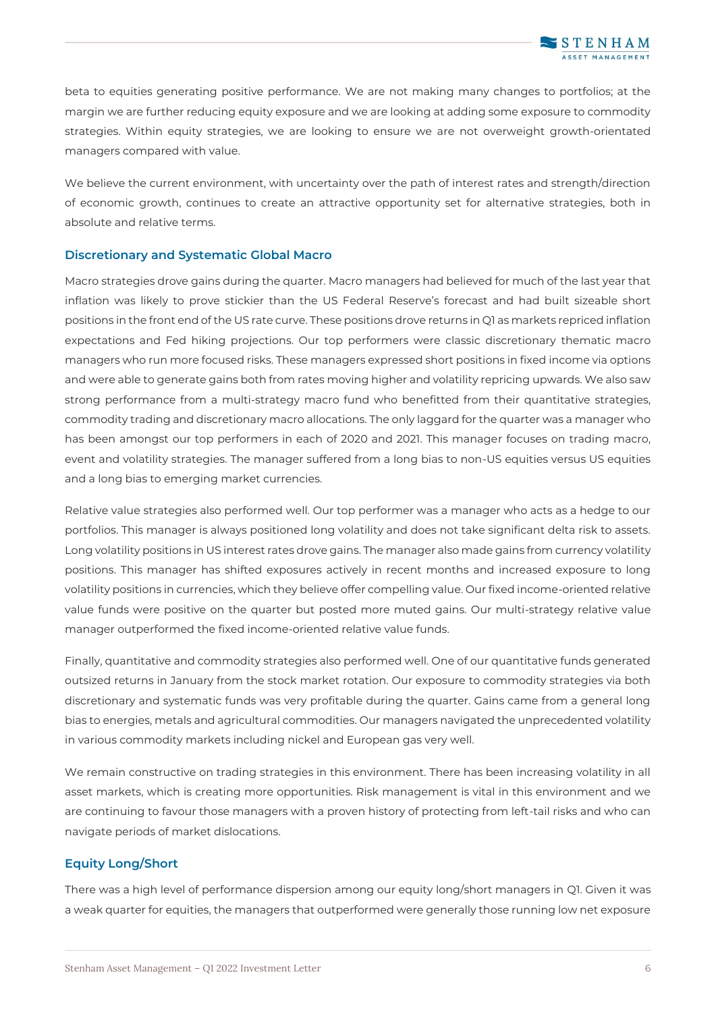beta to equities generating positive performance. We are not making many changes to portfolios; at the margin we are further reducing equity exposure and we are looking at adding some exposure to commodity strategies. Within equity strategies, we are looking to ensure we are not overweight growth-orientated managers compared with value.

We believe the current environment, with uncertainty over the path of interest rates and strength/direction of economic growth, continues to create an attractive opportunity set for alternative strategies, both in absolute and relative terms.

### **Discretionary and Systematic Global Macro**

Macro strategies drove gains during the quarter. Macro managers had believed for much of the last year that inflation was likely to prove stickier than the US Federal Reserve's forecast and had built sizeable short positions in the front end of the US rate curve. These positions drove returns in Q1 as markets repriced inflation expectations and Fed hiking projections. Our top performers were classic discretionary thematic macro managers who run more focused risks. These managers expressed short positions in fixed income via options and were able to generate gains both from rates moving higher and volatility repricing upwards. We also saw strong performance from a multi-strategy macro fund who benefitted from their quantitative strategies, commodity trading and discretionary macro allocations. The only laggard for the quarter was a manager who has been amongst our top performers in each of 2020 and 2021. This manager focuses on trading macro, event and volatility strategies. The manager suffered from a long bias to non-US equities versus US equities and a long bias to emerging market currencies.

Relative value strategies also performed well. Our top performer was a manager who acts as a hedge to our portfolios. This manager is always positioned long volatility and does not take significant delta risk to assets. Long volatility positions in US interest rates drove gains. The manager also made gains from currency volatility positions. This manager has shifted exposures actively in recent months and increased exposure to long volatility positions in currencies, which they believe offer compelling value. Our fixed income-oriented relative value funds were positive on the quarter but posted more muted gains. Our multi-strategy relative value manager outperformed the fixed income-oriented relative value funds.

Finally, quantitative and commodity strategies also performed well. One of our quantitative funds generated outsized returns in January from the stock market rotation. Our exposure to commodity strategies via both discretionary and systematic funds was very profitable during the quarter. Gains came from a general long bias to energies, metals and agricultural commodities. Our managers navigated the unprecedented volatility in various commodity markets including nickel and European gas very well.

We remain constructive on trading strategies in this environment. There has been increasing volatility in all asset markets, which is creating more opportunities. Risk management is vital in this environment and we are continuing to favour those managers with a proven history of protecting from left-tail risks and who can navigate periods of market dislocations.

### **Equity Long/Short**

There was a high level of performance dispersion among our equity long/short managers in Q1. Given it was a weak quarter for equities, the managers that outperformed were generally those running low net exposure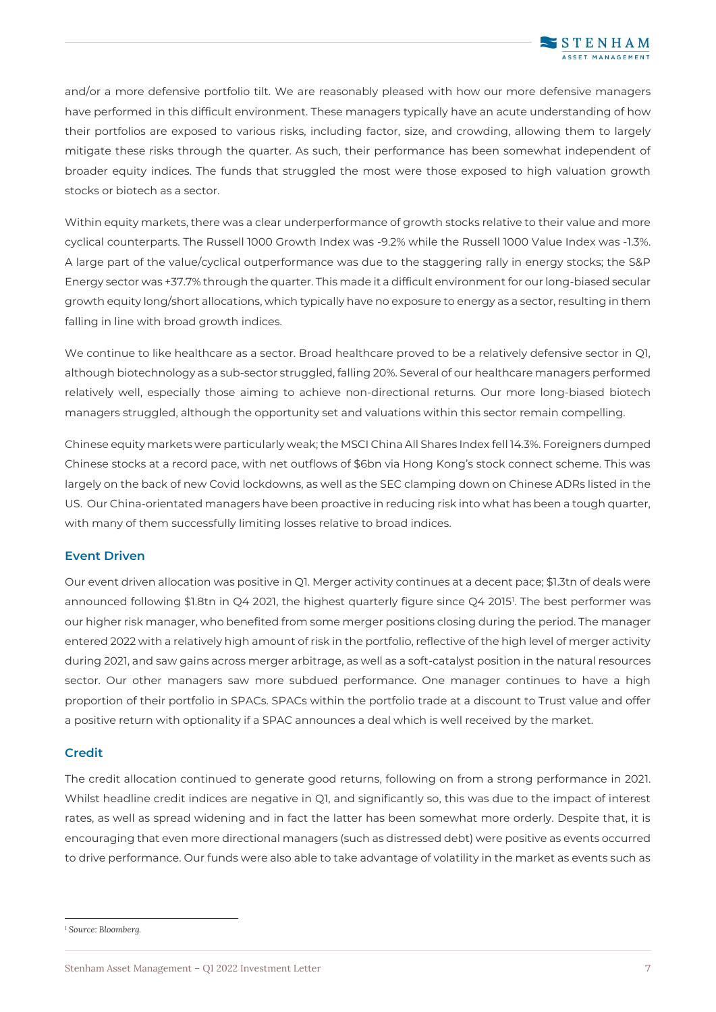and/or a more defensive portfolio tilt. We are reasonably pleased with how our more defensive managers have performed in this difficult environment. These managers typically have an acute understanding of how their portfolios are exposed to various risks, including factor, size, and crowding, allowing them to largely mitigate these risks through the quarter. As such, their performance has been somewhat independent of broader equity indices. The funds that struggled the most were those exposed to high valuation growth stocks or biotech as a sector.

Within equity markets, there was a clear underperformance of growth stocks relative to their value and more cyclical counterparts. The Russell 1000 Growth Index was -9.2% while the Russell 1000 Value Index was -1.3%. A large part of the value/cyclical outperformance was due to the staggering rally in energy stocks; the S&P Energy sector was +37.7% through the quarter. This made it a difficult environment for our long-biased secular growth equity long/short allocations, which typically have no exposure to energy as a sector, resulting in them falling in line with broad growth indices.

We continue to like healthcare as a sector. Broad healthcare proved to be a relatively defensive sector in O1, although biotechnology as a sub-sector struggled, falling 20%. Several of our healthcare managers performed relatively well, especially those aiming to achieve non-directional returns. Our more long-biased biotech managers struggled, although the opportunity set and valuations within this sector remain compelling.

Chinese equity markets were particularly weak; the MSCI China All Shares Index fell 14.3%. Foreigners dumped Chinese stocks at a record pace, with net outflows of \$6bn via Hong Kong's stock connect scheme. This was largely on the back of new Covid lockdowns, as well as the SEC clamping down on Chinese ADRs listed in the US. Our China-orientated managers have been proactive in reducing risk into what has been a tough quarter, with many of them successfully limiting losses relative to broad indices.

### **Event Driven**

Our event driven allocation was positive in Q1. Merger activity continues at a decent pace; \$1.3tn of deals were announced following \$1.8tn in Q4 2021, the highest quarterly figure since Q4 2015<sup>1</sup> . The best performer was our higher risk manager, who benefited from some merger positions closing during the period. The manager entered 2022 with a relatively high amount of risk in the portfolio, reflective of the high level of merger activity during 2021, and saw gains across merger arbitrage, as well as a soft-catalyst position in the natural resources sector. Our other managers saw more subdued performance. One manager continues to have a high proportion of their portfolio in SPACs. SPACs within the portfolio trade at a discount to Trust value and offer a positive return with optionality if a SPAC announces a deal which is well received by the market.

### **Credit**

The credit allocation continued to generate good returns, following on from a strong performance in 2021. Whilst headline credit indices are negative in Q1, and significantly so, this was due to the impact of interest rates, as well as spread widening and in fact the latter has been somewhat more orderly. Despite that, it is encouraging that even more directional managers (such as distressed debt) were positive as events occurred to drive performance. Our funds were also able to take advantage of volatility in the market as events such as

*<sup>1</sup> Source: Bloomberg.*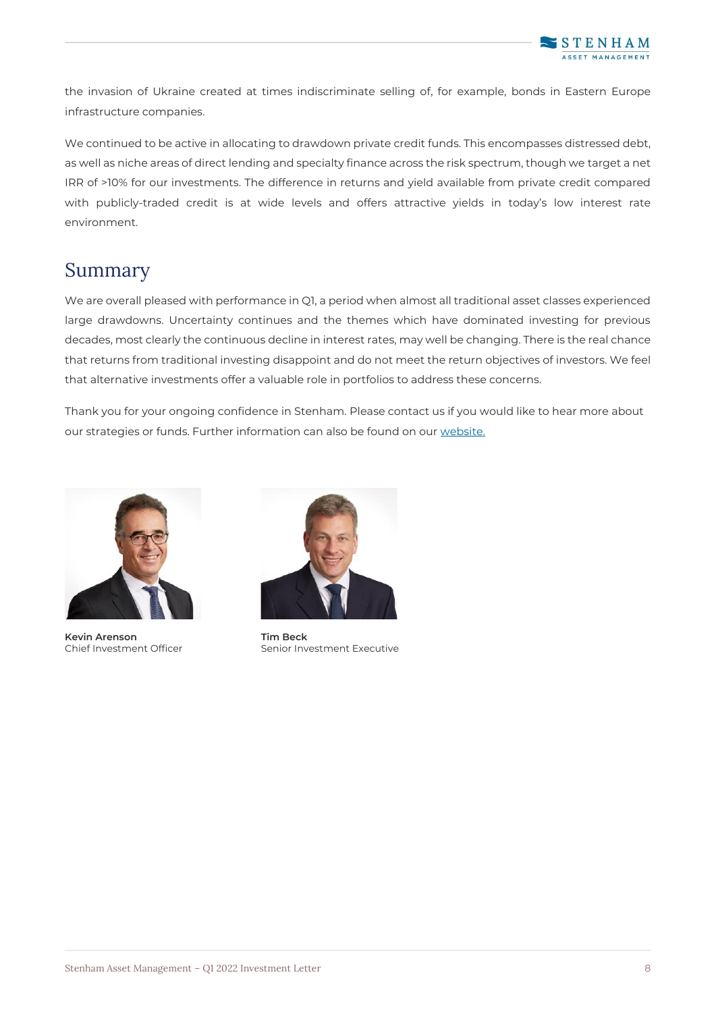

the invasion of Ukraine created at times indiscriminate selling of, for example, bonds in Eastern Europe infrastructure companies.

We continued to be active in allocating to drawdown private credit funds. This encompasses distressed debt, as well as niche areas of direct lending and specialty finance across the risk spectrum, though we target a net IRR of >10% for our investments. The difference in returns and yield available from private credit compared with publicly-traded credit is at wide levels and offers attractive yields in today's low interest rate environment.

# Summary

We are overall pleased with performance in Q1, a period when almost all traditional asset classes experienced large drawdowns. Uncertainty continues and the themes which have dominated investing for previous decades, most clearly the continuous decline in interest rates, may well be changing. There is the real chance that returns from traditional investing disappoint and do not meet the return objectives of investors. We feel that alternative investments offer a valuable role in portfolios to address these concerns.

Thank you for your ongoing confidence in Stenham. Please contact us if you would like to hear more about our strategies or funds. Further information can also be found on our [website.](http://www.stenhamassetmanagement.com/)



**Kevin Arenson Tim Beck**



Chief Investment Officer Senior Investment Executive